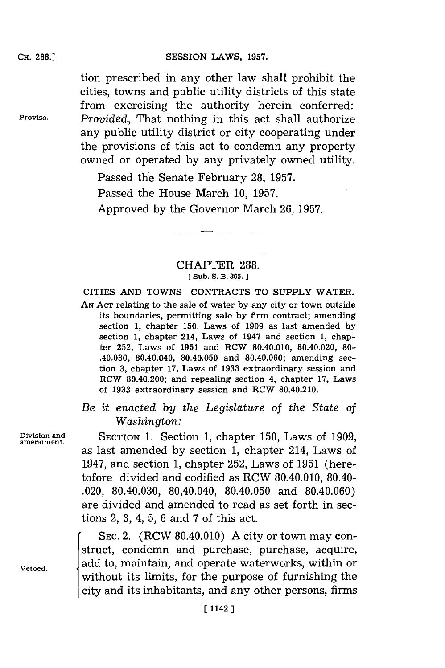### **SESSION LAWS, 1957.**

tion prescribed in any other law shall prohibit the cities, towns and public utility districts of this state from exercising the authority herein conferred: **Proviso.** *Provided,* That nothing in this act shall authorize any public utility district or city cooperating under the provisions of this act to condemn any property owned or operated **by** any privately owned utility.

> Passed the Senate February **28, 1957.** Passed the House March **10, 1957.** Approved **by** the Governor March **26, 1957.**

### CHAPTER **288. [(Sub. S. B. 365. ]**

**CITIES AND TOWNS-CONTRACTS TO SUPPLY WATER.**

**AN ACT** relating to the sale of water **by** any city or town outside its boundaries, permitting sale **by** firm contract; amending section **1,** chapter **150,** Laws of **1909** as last amended **by** section **1,** chapter 214, Laws of 1947 and section **1,** chapter **252,** Laws of **1951** and RCW 80.40.010, 80.40.020, **80-** .40.030, 80.40.040, 80.40.050 and 80.40.060; amending section **3,** chapter **17,** Laws of **1933** extraordinary session and RCW 80.40.200; and repealing section 4, chapter **17,** Laws of **1933** extraordinary session and RCW 80.40.210.

# *Be it enacted by the Legislature of the State of Washington:*

**Division and** SECTION **1.** Section **1,** chapter **150,** Laws of **1909, amendment.** as last amended **by** section **1,** chapter 214, Laws of 1947, and section **1,** chapter **252,** Laws of **1951** (heretofore divided and codified as RCW 80.40.010, 80.40- .020, 80.40.030, 80,40.040, 80.40.050 and 80.40.060) are divided and amended to read as set forth in sections 2, **3,** 4, **5, 6** and **7** of this act.

SEC. 2. (RCW 80.40.010) A city or town may construct, condemn and purchase, purchase, acquire,  $V_{\text{etoed.}}$  **add to, maintain, and operate waterworks, within or** without its limits, for the purpose of furnishing the city and its inhabitants, and any other persons, firms

## **CH. 288.]**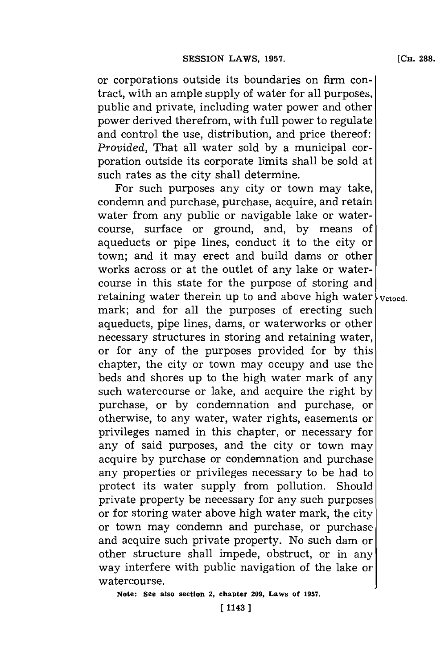or corporations outside its boundaries on firm contract, with an ample supply of water for all purposes, public and private, including water power and other power derived therefrom, with full power to regulate and control the use, distribution, and price thereof: *Provided,* That all water sold **by** a municipal corporation outside its corporate limits shall be sold at such rates as the city shall determine.

For such purposes any city or town may take, condemn and purchase, purchase, acquire, and retain water from any public or navigable lake or watercourse, surface or ground, and, **by** means of aqueducts or pipe lines, conduct it to the city or town; and it may erect and build dams or other works across or at the outlet of any lake or watercourse in this state for the purpose of storing and retaining water therein up to and above high water  $\frac{1}{2}$  vetoed. mark; and for all the purposes of erecting such aqueducts, pipe lines, dams, or waterworks or other necessary structures in storing and retaining water, or for any of the purposes provided for **by** this chapter, the city or town may occupy and use the beds and shores up to the high water mark of any such watercourse or lake, and acquire the right **by** purchase, or **by** condemnation and purchase, or otherwise, to any water, water rights, easements or privileges named in this chapter, or necessary for any of said purposes, and the city or town may acquire **by** purchase or condemnation and purchase any properties or privileges necessary to be had to protect its water supply from pollution. Should private property be necessary for any such purposes or **for** storing water above high water mark, the city or town may condemn and purchase, or purchase and acquire such private property. No such dam or other structure shall impede, obstruct, or in any way interfere with public navigation of the lake or watercourse.

**Note: See also section 2, chapter 209, Laws of 1957.**

[ **1143** ]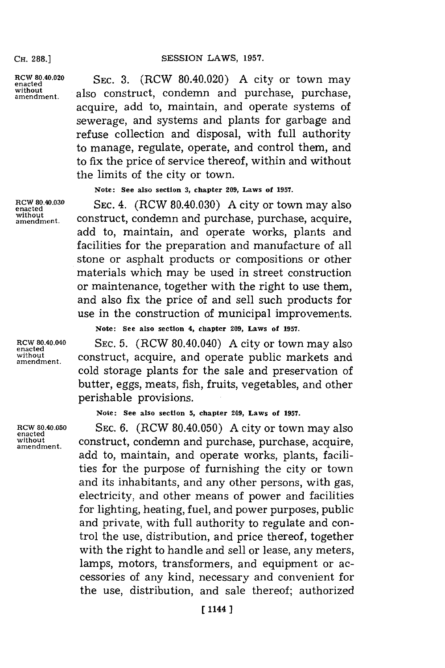#### SESSION LAWS, 1957.

**CH. 288.1**

**encted** SEC. 3. (RCW 80.40.020) A city or town may without amendment. also construct, condemn and purchase, purchase, acquire, add to, maintain, and operate systems of sewerage, and systems and plants for garbage and refuse collection and disposal, with full authority to manage, regulate, operate, and control them, and to fix the price of service thereof, within and without the limits of the city or town.

**Note: See also section 3, chapter 209, Laws of 1957.**

**RCW 80.40.030 SEC. 4.** (RCW 80.40.030) A city or town may also enacted without<br>amendment. construct, condemn and purchase, purchase, acquire, add to, maintain, and operate works, plants and facilities for the preparation and manufacture of all stone or asphalt products or compositions or other materials which may be used in street construction or maintenance, together with the right to use them, and also fix the price of and sell such products for use in the construction of municipal improvements.

**enacted**

**Note: See also section 4, chapter 209, Laws of 1957.**

**RCW 80 .40.040 SEC. 5.** (RCW 80.40.040) **A** city or town may also without construct, acquire, and operate public markets and cold storage plants for the sale and preservation of butter, eggs, meats, fish, fruits, vegetables, and other perishable provisions.

**Note: See also section 5, chapter 209, Laws of 1957.**

**RCW 80.40.050 SEC. 6.** (RCW 80.40.050) **A** city or town may also **without** construct, condemn and purchase, purchase, acquire, **amendment.** add to, maintain, and operate works, plants, facilities for the purpose of furnishing the city or town and its inhabitants, and any other persons, with gas, electricity, and other means of power and facilities for lighting, heating, fuel, and power purposes, public and private, with full authority to regulate and control the use, distribution, and price thereof, together with the right to handle and sell or lease, any meters, lamps, motors, transformers, and equipment or accessories of any kind, necessary and convenient for the use, distribution, and sale thereof; authorized

**enacted**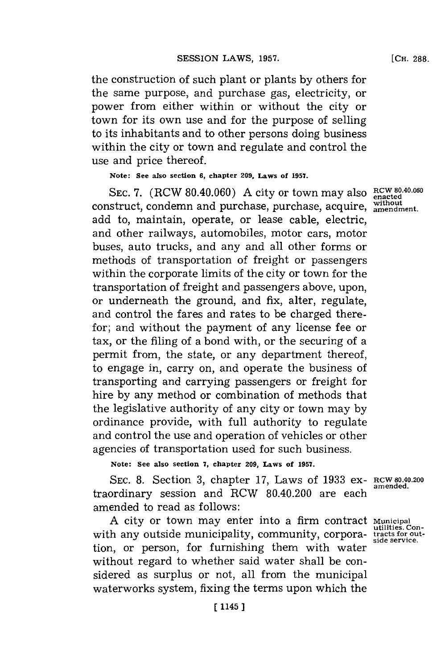the construction of such plant or plants **by** others for the same purpose, and purchase gas, electricity, or power from either within or without the city or town for its own use and for the purpose of selling to its inhabitants and to other persons doing business within the city or town and regulate and control the use and price thereof.

**Note: See also section 6, chapter 209, Laws of 1957.**

SEC. 7. (RCW 80.40.060) A city or town may also **RCW 80.40.060** construct, condemn and purchase, purchase, acquire, without add to, maintain, operate, or lease cable, electric, and other railways, automobiles, motor cars, motor buses, auto trucks, and any and all other forms or methods of transportation of freight or passengers within the corporate limits of the city or town for the transportation of freight and passengers above, upon, or underneath the ground, and fix, alter, regulate, and control the fares and rates to be charged therefor; and without the payment of any license fee or tax, or the filing of a bond with, or the securing of a permit from, the state, or any department thereof, to engage in, carry on, and operate the business of transporting and carrying passengers or freight for hire **by** any method or combination of methods that the legislative authority of any city or town may **by** ordinance provide, with full authority to regulate and control the use and operation of vehicles or other agencies of transportation used for such business.

**Note: See also section 7, chapter 209, Laws of 1957.**

**SEC. 8.** Section **3,** chapter **17,** Laws of **1933** ex- **RCW 80.40.200 amended.** traordinary session and RCW 80.40.200 are each amended to read as follows:

**A** city or town may enter into a firm contract **Municipal** with any outside municipality, community, corpora- **tracts for out-side service.** tion, or person, for furnishing them with water without regard to whether said water shall be considered as surplus or not, all from the municipal waterworks system, fixing the terms upon which the

**[** 1145 J

**[CH. 288.**